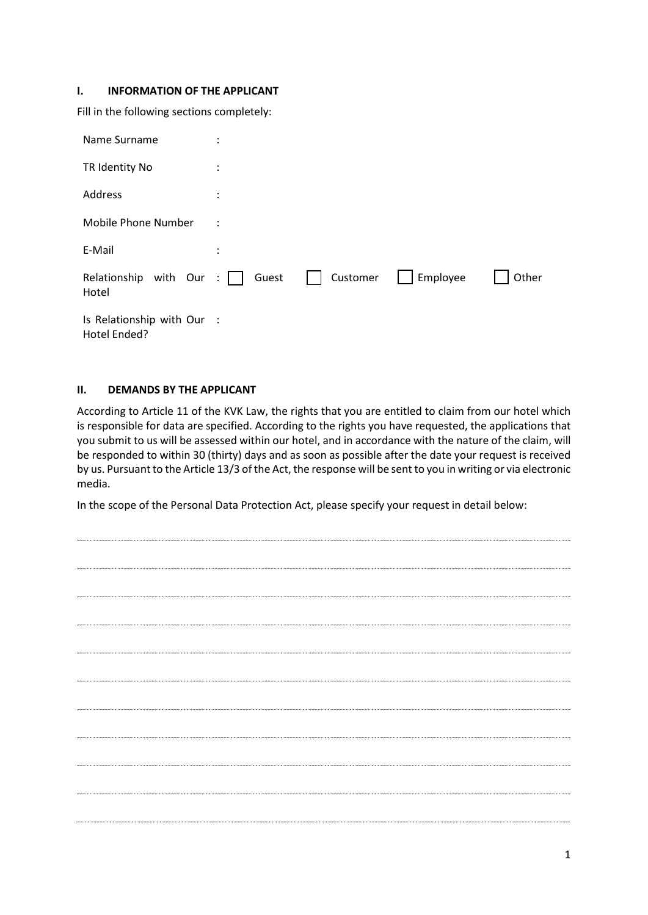## **I. INFORMATION OF THE APPLICANT**

Fill in the following sections completely:

| Name Surname                               | ٠                    |          |                          |       |
|--------------------------------------------|----------------------|----------|--------------------------|-------|
| TR Identity No                             | ٠<br>$\cdot$         |          |                          |       |
| Address                                    | $\ddot{\phantom{a}}$ |          |                          |       |
| Mobile Phone Number                        | ÷                    |          |                          |       |
| E-Mail                                     | ٠                    |          |                          |       |
| Relationship with Our :    <br>Hotel       | Guest                | Customer | Employee<br>$\mathbf{L}$ | Other |
| Is Relationship with Our :<br>Hotel Ended? |                      |          |                          |       |

## **II. DEMANDS BY THE APPLICANT**

According to Article 11 of the KVK Law, the rights that you are entitled to claim from our hotel which is responsible for data are specified. According to the rights you have requested, the applications that you submit to us will be assessed within our hotel, and in accordance with the nature of the claim, will be responded to within 30 (thirty) days and as soon as possible after the date your request is received by us. Pursuant to the Article 13/3 of the Act, the response will be sent to you in writing or via electronic media.

In the scope of the Personal Data Protection Act, please specify your request in detail below: